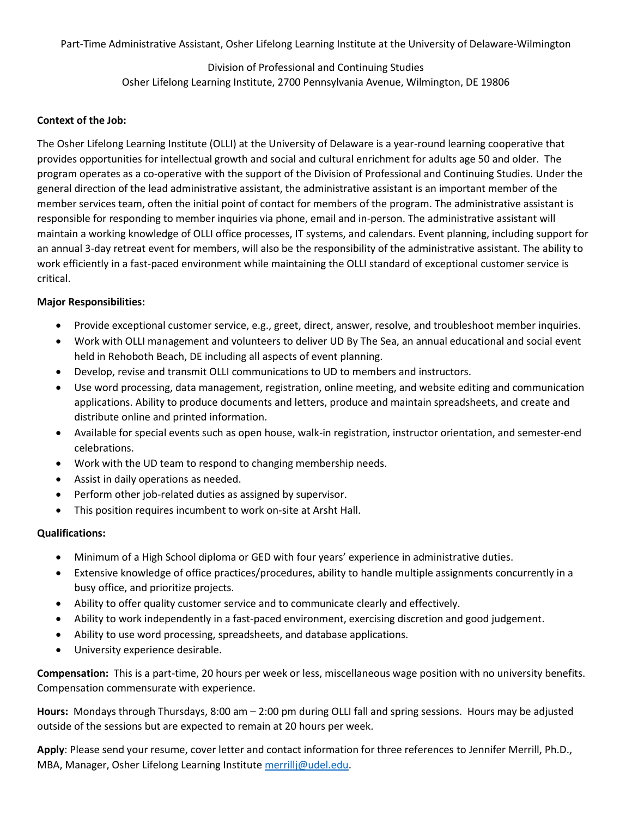Part-Time Administrative Assistant, Osher Lifelong Learning Institute at the University of Delaware-Wilmington

Division of Professional and Continuing Studies Osher Lifelong Learning Institute, 2700 Pennsylvania Avenue, Wilmington, DE 19806

## **Context of the Job:**

The Osher Lifelong Learning Institute (OLLI) at the University of Delaware is a year-round learning cooperative that provides opportunities for intellectual growth and social and cultural enrichment for adults age 50 and older. The program operates as a co-operative with the support of the Division of Professional and Continuing Studies. Under the general direction of the lead administrative assistant, the administrative assistant is an important member of the member services team, often the initial point of contact for members of the program. The administrative assistant is responsible for responding to member inquiries via phone, email and in-person. The administrative assistant will maintain a working knowledge of OLLI office processes, IT systems, and calendars. Event planning, including support for an annual 3-day retreat event for members, will also be the responsibility of the administrative assistant. The ability to work efficiently in a fast-paced environment while maintaining the OLLI standard of exceptional customer service is critical.

## **Major Responsibilities:**

- Provide exceptional customer service, e.g., greet, direct, answer, resolve, and troubleshoot member inquiries.
- Work with OLLI management and volunteers to deliver UD By The Sea, an annual educational and social event held in Rehoboth Beach, DE including all aspects of event planning.
- Develop, revise and transmit OLLI communications to UD to members and instructors.
- Use word processing, data management, registration, online meeting, and website editing and communication applications. Ability to produce documents and letters, produce and maintain spreadsheets, and create and distribute online and printed information.
- Available for special events such as open house, walk-in registration, instructor orientation, and semester-end celebrations.
- Work with the UD team to respond to changing membership needs.
- Assist in daily operations as needed.
- Perform other job-related duties as assigned by supervisor.
- This position requires incumbent to work on-site at Arsht Hall.

## **Qualifications:**

- Minimum of a High School diploma or GED with four years' experience in administrative duties.
- Extensive knowledge of office practices/procedures, ability to handle multiple assignments concurrently in a busy office, and prioritize projects.
- Ability to offer quality customer service and to communicate clearly and effectively.
- Ability to work independently in a fast-paced environment, exercising discretion and good judgement.
- Ability to use word processing, spreadsheets, and database applications.
- University experience desirable.

**Compensation:** This is a part-time, 20 hours per week or less, miscellaneous wage position with no university benefits. Compensation commensurate with experience.

**Hours:** Mondays through Thursdays, 8:00 am – 2:00 pm during OLLI fall and spring sessions. Hours may be adjusted outside of the sessions but are expected to remain at 20 hours per week.

**Apply**: Please send your resume, cover letter and contact information for three references to Jennifer Merrill, Ph.D., MBA, Manager, Osher Lifelong Learning Institut[e merrillj@udel.edu.](mailto:merrillj@udel.edu)